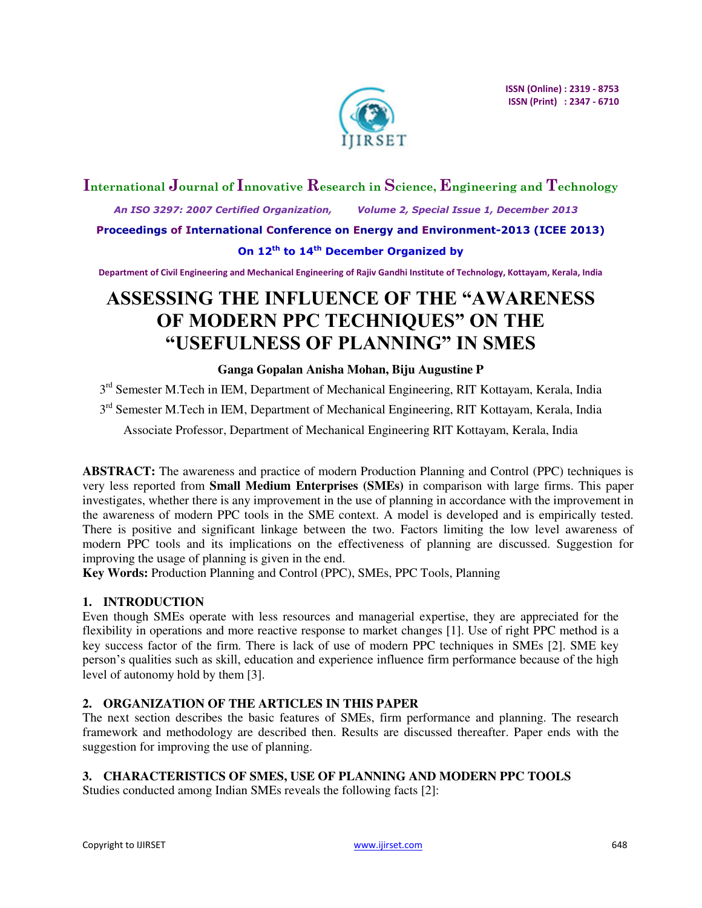

# **International Journal of Innovative Research in Science, Engineering and Technology**

 *An ISO 3297: 2007 Certified Organization, Volume 2, Special Issue 1, December 2013* 

**Proceedings of International Conference on Energy and Environment-2013 (ICEE 2013)** 

### **On 12th to 14th December Organized by**

**Department of Civil Engineering and Mechanical Engineering of Rajiv Gandhi Institute of Technology, Kottayam, Kerala, India** 

# **ASSESSING THE INFLUENCE OF THE "AWARENESS OF MODERN PPC TECHNIQUES" ON THE "USEFULNESS OF PLANNING" IN SMES**

#### **Ganga Gopalan Anisha Mohan, Biju Augustine P**

3<sup>rd</sup> Semester M.Tech in IEM, Department of Mechanical Engineering, RIT Kottayam, Kerala, India

3<sup>rd</sup> Semester M.Tech in IEM, Department of Mechanical Engineering, RIT Kottayam, Kerala, India

Associate Professor, Department of Mechanical Engineering RIT Kottayam, Kerala, India

**ABSTRACT:** The awareness and practice of modern Production Planning and Control (PPC) techniques is very less reported from **Small Medium Enterprises (SMEs)** in comparison with large firms. This paper investigates, whether there is any improvement in the use of planning in accordance with the improvement in the awareness of modern PPC tools in the SME context. A model is developed and is empirically tested. There is positive and significant linkage between the two. Factors limiting the low level awareness of modern PPC tools and its implications on the effectiveness of planning are discussed. Suggestion for improving the usage of planning is given in the end.

**Key Words:** Production Planning and Control (PPC), SMEs, PPC Tools, Planning

# **1. INTRODUCTION**

Even though SMEs operate with less resources and managerial expertise, they are appreciated for the flexibility in operations and more reactive response to market changes [1]. Use of right PPC method is a key success factor of the firm. There is lack of use of modern PPC techniques in SMEs [2]. SME key person's qualities such as skill, education and experience influence firm performance because of the high level of autonomy hold by them [3].

# **2. ORGANIZATION OF THE ARTICLES IN THIS PAPER**

The next section describes the basic features of SMEs, firm performance and planning. The research framework and methodology are described then. Results are discussed thereafter. Paper ends with the suggestion for improving the use of planning.

# **3. CHARACTERISTICS OF SMES, USE OF PLANNING AND MODERN PPC TOOLS**

Studies conducted among Indian SMEs reveals the following facts [2]: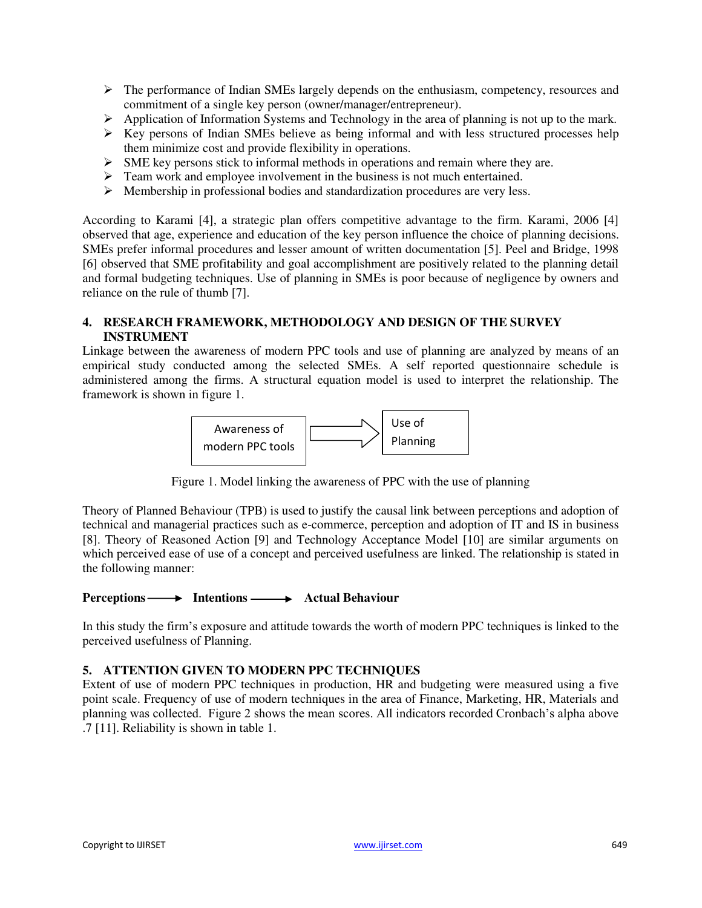- The performance of Indian SMEs largely depends on the enthusiasm, competency, resources and commitment of a single key person (owner/manager/entrepreneur).
- $\triangleright$  Application of Information Systems and Technology in the area of planning is not up to the mark.
- $\triangleright$  Key persons of Indian SMEs believe as being informal and with less structured processes help them minimize cost and provide flexibility in operations.
- $\triangleright$  SME key persons stick to informal methods in operations and remain where they are.
- > Team work and employee involvement in the business is not much entertained.
- $\triangleright$  Membership in professional bodies and standardization procedures are very less.

According to Karami [4], a strategic plan offers competitive advantage to the firm. Karami, 2006 [4] observed that age, experience and education of the key person influence the choice of planning decisions. SMEs prefer informal procedures and lesser amount of written documentation [5]. Peel and Bridge, 1998 [6] observed that SME profitability and goal accomplishment are positively related to the planning detail and formal budgeting techniques. Use of planning in SMEs is poor because of negligence by owners and reliance on the rule of thumb [7].

#### **4. RESEARCH FRAMEWORK, METHODOLOGY AND DESIGN OF THE SURVEY INSTRUMENT**

Linkage between the awareness of modern PPC tools and use of planning are analyzed by means of an empirical study conducted among the selected SMEs. A self reported questionnaire schedule is administered among the firms. A structural equation model is used to interpret the relationship. The framework is shown in figure 1.



Figure 1. Model linking the awareness of PPC with the use of planning

Theory of Planned Behaviour (TPB) is used to justify the causal link between perceptions and adoption of technical and managerial practices such as e-commerce, perception and adoption of IT and IS in business [8]. Theory of Reasoned Action [9] and Technology Acceptance Model [10] are similar arguments on which perceived ease of use of a concept and perceived usefulness are linked. The relationship is stated in the following manner:

#### **Perceptions** — **••** Intentions — • Actual Behaviour

In this study the firm's exposure and attitude towards the worth of modern PPC techniques is linked to the perceived usefulness of Planning.

#### **5. ATTENTION GIVEN TO MODERN PPC TECHNIQUES**

Extent of use of modern PPC techniques in production, HR and budgeting were measured using a five point scale. Frequency of use of modern techniques in the area of Finance, Marketing, HR, Materials and planning was collected. Figure 2 shows the mean scores. All indicators recorded Cronbach's alpha above .7 [11]. Reliability is shown in table 1.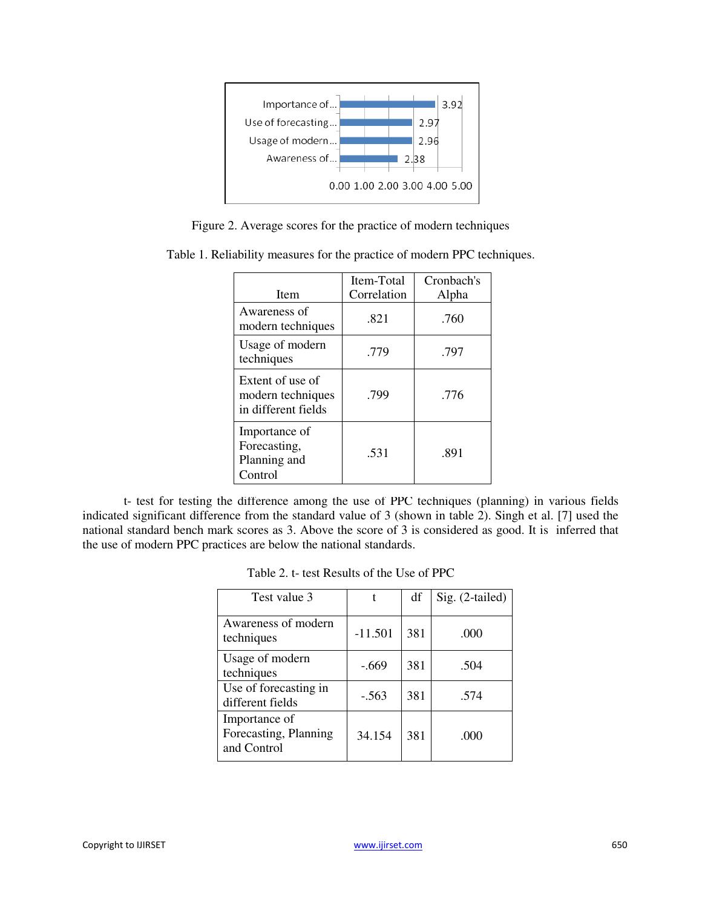

Figure 2. Average scores for the practice of modern techniques

| <b>Item</b>                                                  | Item-Total<br>Correlation | Cronbach's<br>Alpha |  |
|--------------------------------------------------------------|---------------------------|---------------------|--|
| Awareness of<br>modern techniques                            | .821                      | .760                |  |
| Usage of modern<br>techniques                                | .779                      | .797                |  |
| Extent of use of<br>modern techniques<br>in different fields | .799                      | .776                |  |
| Importance of<br>Forecasting,<br>Planning and<br>Control     | .531                      | .891                |  |

Table 1. Reliability measures for the practice of modern PPC techniques.

t- test for testing the difference among the use of PPC techniques (planning) in various fields indicated significant difference from the standard value of 3 (shown in table 2). Singh et al. [7] used the national standard bench mark scores as 3. Above the score of 3 is considered as good. It is inferred that the use of modern PPC practices are below the national standards.

| Table 2. t- test Results of the Use of PPC |  |
|--------------------------------------------|--|
|--------------------------------------------|--|

| Test value 3                                          | t         | df  | Sig. (2-tailed) |
|-------------------------------------------------------|-----------|-----|-----------------|
| Awareness of modern<br>techniques                     | $-11.501$ | 381 | .000            |
| Usage of modern<br>techniques                         | $-.669$   | 381 | .504            |
| Use of forecasting in<br>different fields             | $-.563$   | 381 | .574            |
| Importance of<br>Forecasting, Planning<br>and Control | 34.154    | 381 | .000            |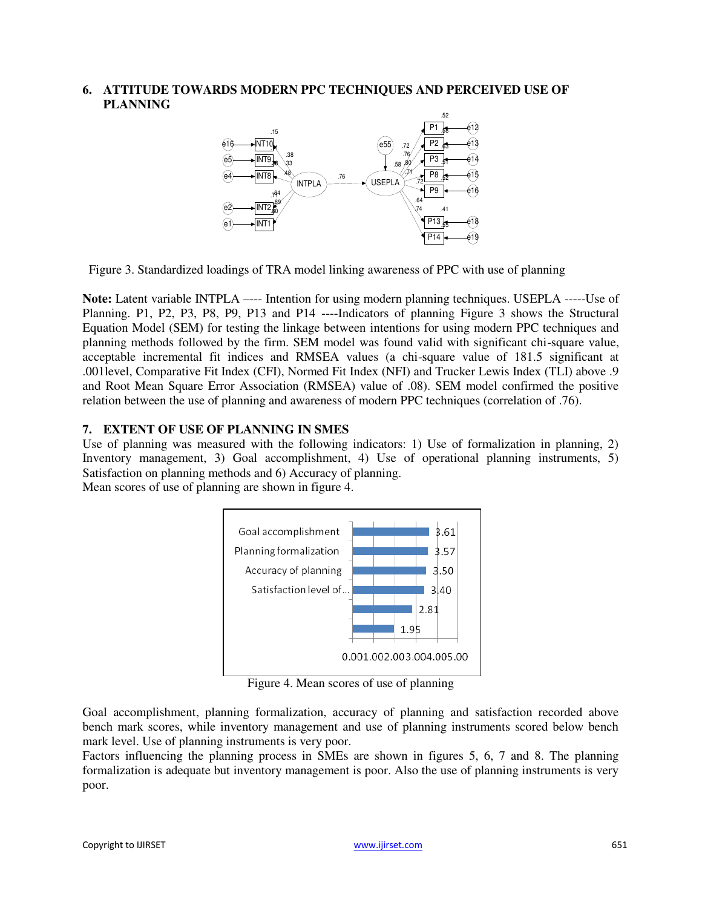**6. ATTITUDE TOWARDS MODERN PPC TECHNIQUES AND PERCEIVED USE OF PLANNING** 



Figure 3. Standardized loadings of TRA model linking awareness of PPC with use of planning

**Note:** Latent variable INTPLA ——- Intention for using modern planning techniques. USEPLA ——-- Use of Planning. P1, P2, P3, P8, P9, P13 and P14 ----Indicators of planning Figure 3 shows the Structural Equation Model (SEM) for testing the linkage between intentions for using modern PPC techniques and planning methods followed by the firm. SEM model was found valid with significant chi-square value, acceptable incremental fit indices and RMSEA values (a chi-square value of 181.5 significant at .001level, Comparative Fit Index (CFI), Normed Fit Index (NFI) and Trucker Lewis Index (TLI) above .9 and Root Mean Square Error Association (RMSEA) value of .08). SEM model confirmed the positive relation between the use of planning and awareness of modern PPC techniques (correlation of .76).

#### **7. EXTENT OF USE OF PLANNING IN SMES**

Use of planning was measured with the following indicators: 1) Use of formalization in planning, 2) Inventory management, 3) Goal accomplishment, 4) Use of operational planning instruments, 5) Satisfaction on planning methods and 6) Accuracy of planning.

Mean scores of use of planning are shown in figure 4.



Figure 4. Mean scores of use of planning

Goal accomplishment, planning formalization, accuracy of planning and satisfaction recorded above bench mark scores, while inventory management and use of planning instruments scored below bench mark level. Use of planning instruments is very poor.

Factors influencing the planning process in SMEs are shown in figures 5, 6, 7 and 8. The planning formalization is adequate but inventory management is poor. Also the use of planning instruments is very poor.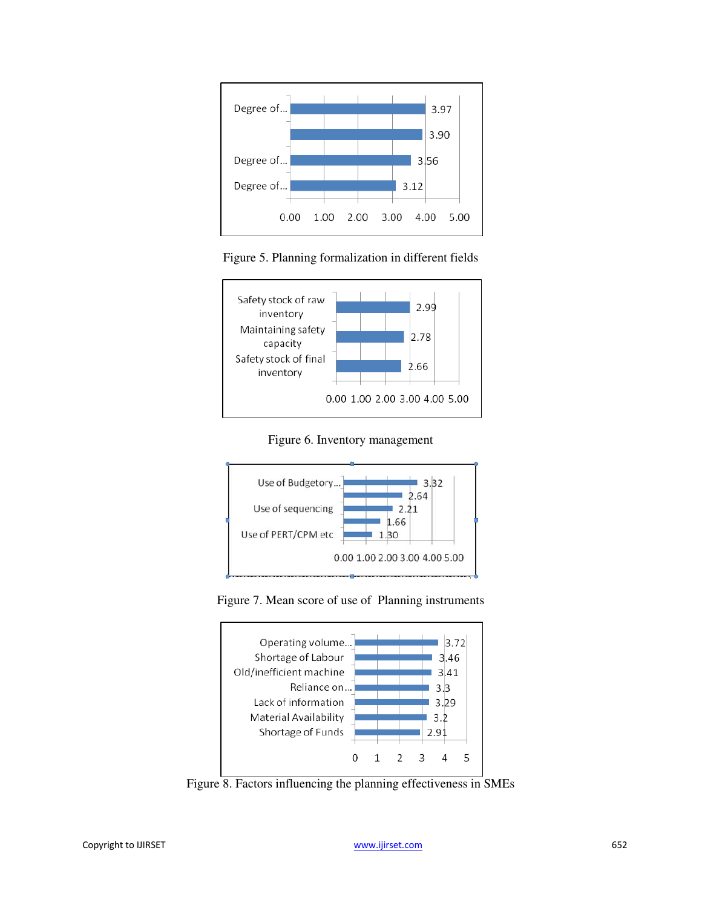

Figure 5. Planning formalization in different fields



Figure 6. Inventory management



Figure 7. Mean score of use of Planning instruments



Figure 8. Factors influencing the planning effectiveness in SMEs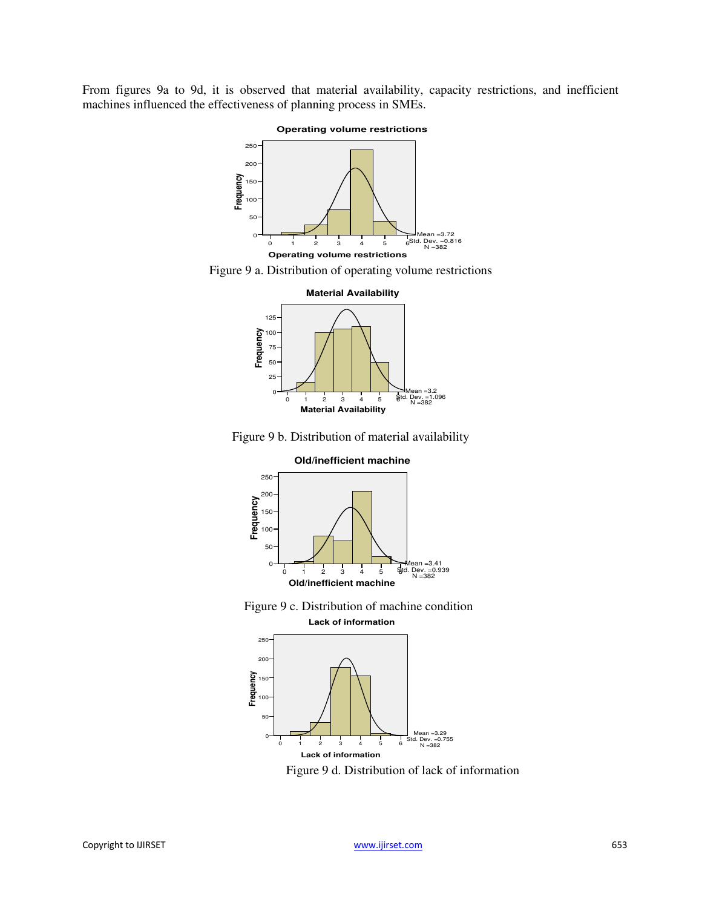From figures 9a to 9d, it is observed that material availability, capacity restrictions, and inefficient machines influenced the effectiveness of planning process in SMEs.



Figure 9 a. Distribution of operating volume restrictions



Figure 9 b. Distribution of material availability







Figure 9 d. Distribution of lack of information